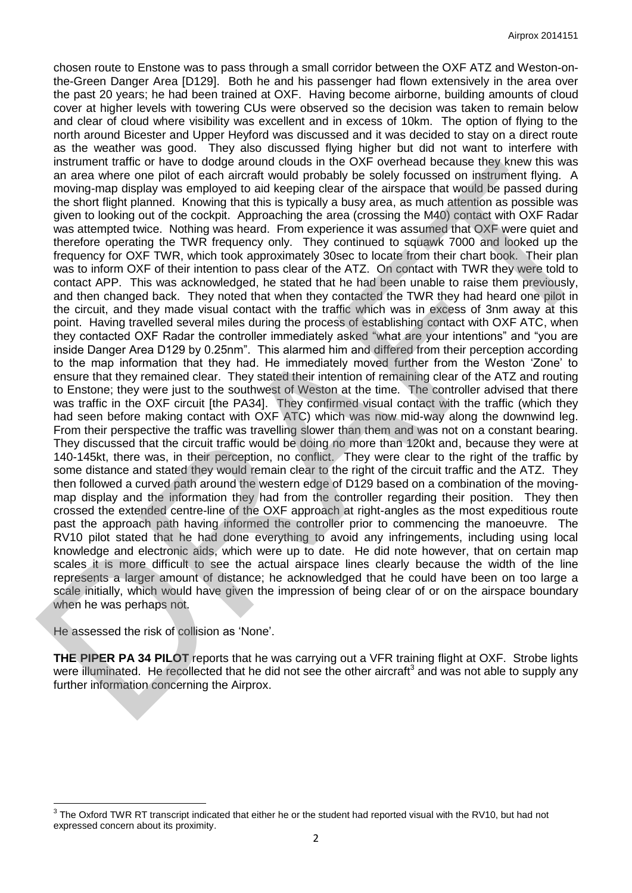chosen route to Enstone was to pass through a small corridor between the OXF ATZ and Weston-onthe-Green Danger Area [D129]. Both he and his passenger had flown extensively in the area over the past 20 years; he had been trained at OXF. Having become airborne, building amounts of cloud cover at higher levels with towering CUs were observed so the decision was taken to remain below and clear of cloud where visibility was excellent and in excess of 10km. The option of flying to the north around Bicester and Upper Heyford was discussed and it was decided to stay on a direct route as the weather was good. They also discussed flying higher but did not want to interfere with instrument traffic or have to dodge around clouds in the OXF overhead because they knew this was an area where one pilot of each aircraft would probably be solely focussed on instrument flying. A moving-map display was employed to aid keeping clear of the airspace that would be passed during the short flight planned. Knowing that this is typically a busy area, as much attention as possible was given to looking out of the cockpit. Approaching the area (crossing the M40) contact with OXF Radar was attempted twice. Nothing was heard. From experience it was assumed that OXF were quiet and therefore operating the TWR frequency only. They continued to squawk 7000 and looked up the frequency for OXF TWR, which took approximately 30sec to locate from their chart book. Their plan was to inform OXF of their intention to pass clear of the ATZ. On contact with TWR they were told to contact APP. This was acknowledged, he stated that he had been unable to raise them previously, and then changed back. They noted that when they contacted the TWR they had heard one pilot in the circuit, and they made visual contact with the traffic which was in excess of 3nm away at this point. Having travelled several miles during the process of establishing contact with OXF ATC, when they contacted OXF Radar the controller immediately asked "what are your intentions" and "you are inside Danger Area D129 by 0.25nm". This alarmed him and differed from their perception according to the map information that they had. He immediately moved further from the Weston 'Zone' to ensure that they remained clear. They stated their intention of remaining clear of the ATZ and routing to Enstone; they were just to the southwest of Weston at the time. The controller advised that there was traffic in the OXF circuit [the PA34]. They confirmed visual contact with the traffic (which they had seen before making contact with OXF ATC) which was now mid-way along the downwind leg. From their perspective the traffic was travelling slower than them and was not on a constant bearing. They discussed that the circuit traffic would be doing no more than 120kt and, because they were at 140-145kt, there was, in their perception, no conflict. They were clear to the right of the traffic by some distance and stated they would remain clear to the right of the circuit traffic and the ATZ. They then followed a curved path around the western edge of D129 based on a combination of the movingmap display and the information they had from the controller regarding their position. They then crossed the extended centre-line of the OXF approach at right-angles as the most expeditious route past the approach path having informed the controller prior to commencing the manoeuvre. The RV10 pilot stated that he had done everything to avoid any infringements, including using local knowledge and electronic aids, which were up to date. He did note however, that on certain map scales it is more difficult to see the actual airspace lines clearly because the width of the line represents a larger amount of distance; he acknowledged that he could have been on too large a scale initially, which would have given the impression of being clear of or on the airspace boundary when he was perhaps not. national traffic change and a color of the separation in the CXF overhast the separation and a consider the separation in the separation and when the separation of the separation in the traffic consider the separation and

He assessed the risk of collision as 'None'.

l

**THE PIPER PA 34 PILOT** reports that he was carrying out a VFR training flight at OXF. Strobe lights were illuminated. He recollected that he did not see the other aircraft<sup>3</sup> and was not able to supply any further information concerning the Airprox.

 $3$  The Oxford TWR RT transcript indicated that either he or the student had reported visual with the RV10, but had not expressed concern about its proximity.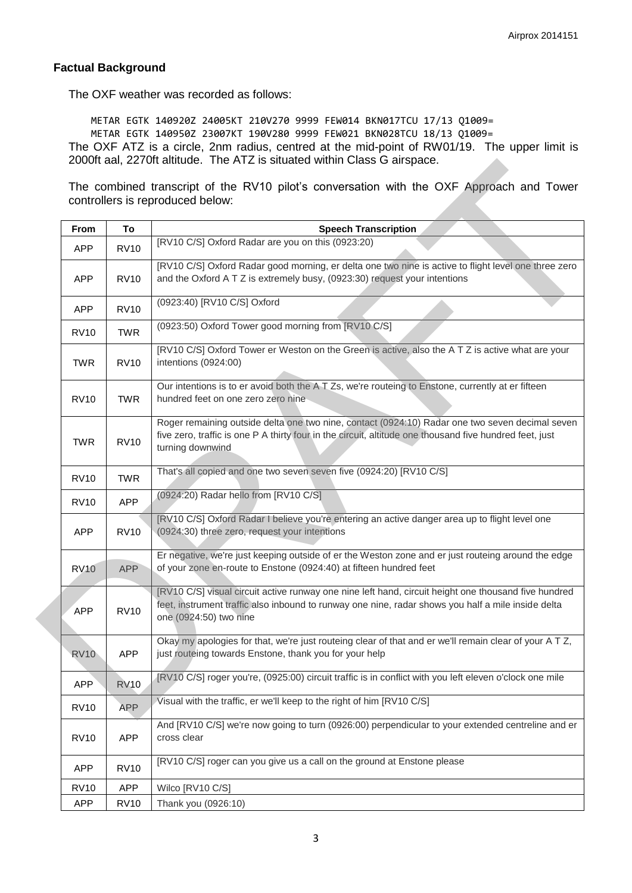## **Factual Background**

The OXF weather was recorded as follows:

METAR EGTK 140920Z 24005KT 210V270 9999 FEW014 BKN017TCU 17/13 Q1009= METAR EGTK 140950Z 23007KT 190V280 9999 FEW021 BKN028TCU 18/13 Q1009= The OXF ATZ is a circle, 2nm radius, centred at the mid-point of RW01/19. The upper limit is 2000ft aal, 2270ft altitude. The ATZ is situated within Class G airspace.

| From        | To          | <b>Speech Transcription</b>                                                                                                                                                                                                          |
|-------------|-------------|--------------------------------------------------------------------------------------------------------------------------------------------------------------------------------------------------------------------------------------|
| <b>APP</b>  | <b>RV10</b> | [RV10 C/S] Oxford Radar are you on this (0923:20)                                                                                                                                                                                    |
| <b>APP</b>  | <b>RV10</b> | [RV10 C/S] Oxford Radar good morning, er delta one two nine is active to flight level one three zero<br>and the Oxford A T Z is extremely busy, (0923:30) request your intentions                                                    |
| <b>APP</b>  | <b>RV10</b> | (0923:40) [RV10 C/S] Oxford                                                                                                                                                                                                          |
| <b>RV10</b> | <b>TWR</b>  | (0923:50) Oxford Tower good morning from [RV10 C/S]                                                                                                                                                                                  |
| <b>TWR</b>  | <b>RV10</b> | [RV10 C/S] Oxford Tower er Weston on the Green is active, also the A T Z is active what are your<br>intentions (0924:00)                                                                                                             |
| <b>RV10</b> | <b>TWR</b>  | Our intentions is to er avoid both the ATZs, we're routeing to Enstone, currently at er fifteen<br>hundred feet on one zero zero nine                                                                                                |
| <b>TWR</b>  | <b>RV10</b> | Roger remaining outside delta one two nine, contact (0924:10) Radar one two seven decimal seven<br>five zero, traffic is one P A thirty four in the circuit, altitude one thousand five hundred feet, just<br>turning downwind       |
| <b>RV10</b> | <b>TWR</b>  | That's all copied and one two seven seven five (0924:20) [RV10 C/S]                                                                                                                                                                  |
| <b>RV10</b> | <b>APP</b>  | (0924:20) Radar hello from [RV10 C/S]                                                                                                                                                                                                |
| <b>APP</b>  | <b>RV10</b> | [RV10 C/S] Oxford Radar I believe you're entering an active danger area up to flight level one<br>(0924:30) three zero, request your intentions                                                                                      |
| <b>RV10</b> | <b>APP</b>  | Er negative, we're just keeping outside of er the Weston zone and er just routeing around the edge<br>of your zone en-route to Enstone (0924:40) at fifteen hundred feet                                                             |
| <b>APP</b>  | <b>RV10</b> | [RV10 C/S] visual circuit active runway one nine left hand, circuit height one thousand five hundred<br>feet, instrument traffic also inbound to runway one nine, radar shows you half a mile inside delta<br>one (0924:50) two nine |
| <b>RV10</b> | <b>APP</b>  | Okay my apologies for that, we're just routeing clear of that and er we'll remain clear of your A T Z,<br>just routeing towards Enstone, thank you for your help                                                                     |
| <b>APP</b>  | <b>RV10</b> | [RV10 C/S] roger you're, (0925:00) circuit traffic is in conflict with you left eleven o'clock one mile                                                                                                                              |
| <b>RV10</b> | <b>APP</b>  | Visual with the traffic, er we'll keep to the right of him [RV10 C/S]                                                                                                                                                                |
| <b>RV10</b> | <b>APP</b>  | And [RV10 C/S] we're now going to turn (0926:00) perpendicular to your extended centreline and er<br>cross clear                                                                                                                     |
| <b>APP</b>  | <b>RV10</b> | [RV10 C/S] roger can you give us a call on the ground at Enstone please                                                                                                                                                              |
| <b>RV10</b> | <b>APP</b>  | Wilco [RV10 C/S]                                                                                                                                                                                                                     |
| <b>APP</b>  | <b>RV10</b> | Thank you (0926:10)                                                                                                                                                                                                                  |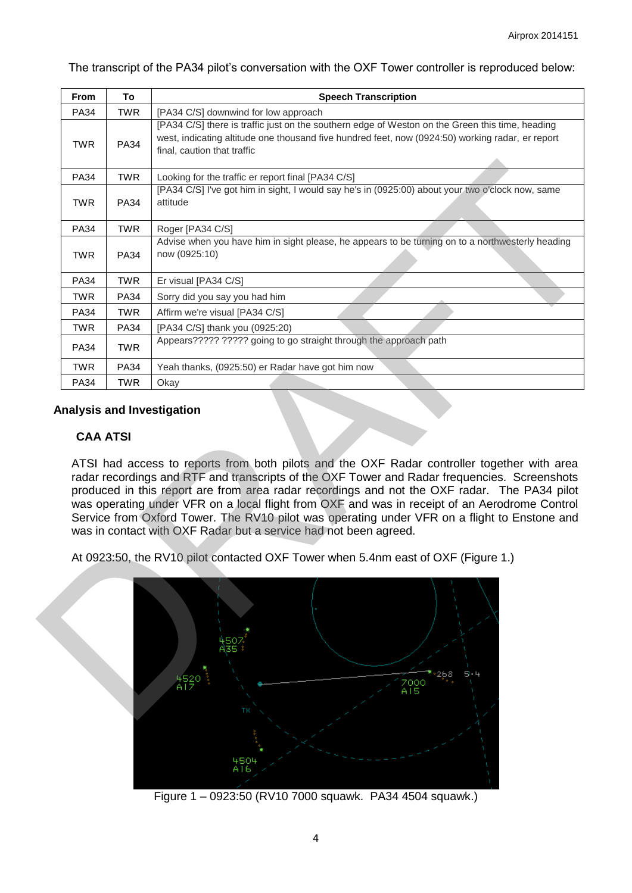The transcript of the PA34 pilot's conversation with the OXF Tower controller is reproduced below:

| <b>PA34</b>     | To          | <b>Speech Transcription</b>                                                                                                                                                                                                                                                                                                                                                                                                                                                                                                                                                       |
|-----------------|-------------|-----------------------------------------------------------------------------------------------------------------------------------------------------------------------------------------------------------------------------------------------------------------------------------------------------------------------------------------------------------------------------------------------------------------------------------------------------------------------------------------------------------------------------------------------------------------------------------|
|                 | TWR         | [PA34 C/S] downwind for low approach                                                                                                                                                                                                                                                                                                                                                                                                                                                                                                                                              |
| <b>TWR</b>      | <b>PA34</b> | [PA34 C/S] there is traffic just on the southern edge of Weston on the Green this time, heading<br>west, indicating altitude one thousand five hundred feet, now (0924:50) working radar, er report<br>final, caution that traffic                                                                                                                                                                                                                                                                                                                                                |
| <b>PA34</b>     | <b>TWR</b>  | Looking for the traffic er report final [PA34 C/S]                                                                                                                                                                                                                                                                                                                                                                                                                                                                                                                                |
| <b>TWR</b>      | <b>PA34</b> | [PA34 C/S] I've got him in sight, I would say he's in (0925:00) about your two o'clock now, same<br>attitude                                                                                                                                                                                                                                                                                                                                                                                                                                                                      |
| <b>PA34</b>     | <b>TWR</b>  | Roger [PA34 C/S]                                                                                                                                                                                                                                                                                                                                                                                                                                                                                                                                                                  |
| <b>TWR</b>      | <b>PA34</b> | Advise when you have him in sight please, he appears to be turning on to a northwesterly heading<br>now (0925:10)                                                                                                                                                                                                                                                                                                                                                                                                                                                                 |
| PA34            | <b>TWR</b>  | Er visual [PA34 C/S]                                                                                                                                                                                                                                                                                                                                                                                                                                                                                                                                                              |
| <b>TWR</b>      | <b>PA34</b> | Sorry did you say you had him                                                                                                                                                                                                                                                                                                                                                                                                                                                                                                                                                     |
| <b>PA34</b>     | <b>TWR</b>  | Affirm we're visual [PA34 C/S]                                                                                                                                                                                                                                                                                                                                                                                                                                                                                                                                                    |
| <b>TWR</b>      | <b>PA34</b> | [PA34 C/S] thank you (0925:20)                                                                                                                                                                                                                                                                                                                                                                                                                                                                                                                                                    |
| <b>PA34</b>     | <b>TWR</b>  | Appears????? ????? going to go straight through the approach path                                                                                                                                                                                                                                                                                                                                                                                                                                                                                                                 |
| TWR             | <b>PA34</b> | Yeah thanks, (0925:50) er Radar have got him now                                                                                                                                                                                                                                                                                                                                                                                                                                                                                                                                  |
| <b>PA34</b>     | <b>TWR</b>  | Okay                                                                                                                                                                                                                                                                                                                                                                                                                                                                                                                                                                              |
|                 |             |                                                                                                                                                                                                                                                                                                                                                                                                                                                                                                                                                                                   |
| <b>CAA ATSI</b> |             |                                                                                                                                                                                                                                                                                                                                                                                                                                                                                                                                                                                   |
|                 |             | was in contact with OXF Radar but a service had not been agreed.                                                                                                                                                                                                                                                                                                                                                                                                                                                                                                                  |
|                 |             | ATSI had access to reports from both pilots and the OXF Radar controller together with area<br>radar recordings and RTF and transcripts of the OXF Tower and Radar frequencies. Screenshots<br>produced in this report are from area radar recordings and not the OXF radar. The PA34 pilot<br>was operating under VFR on a local flight from OXF and was in receipt of an Aerodrome Control<br>Service from Oxford Tower. The RV10 pilot was operating under VFR on a flight to Enstone and<br>At 0923:50, the RV10 pilot contacted OXF Tower when 5.4nm east of OXF (Figure 1.) |

### **Analysis and Investigation**

# **CAA ATSI**



Figure 1 – 0923:50 (RV10 7000 squawk. PA34 4504 squawk.)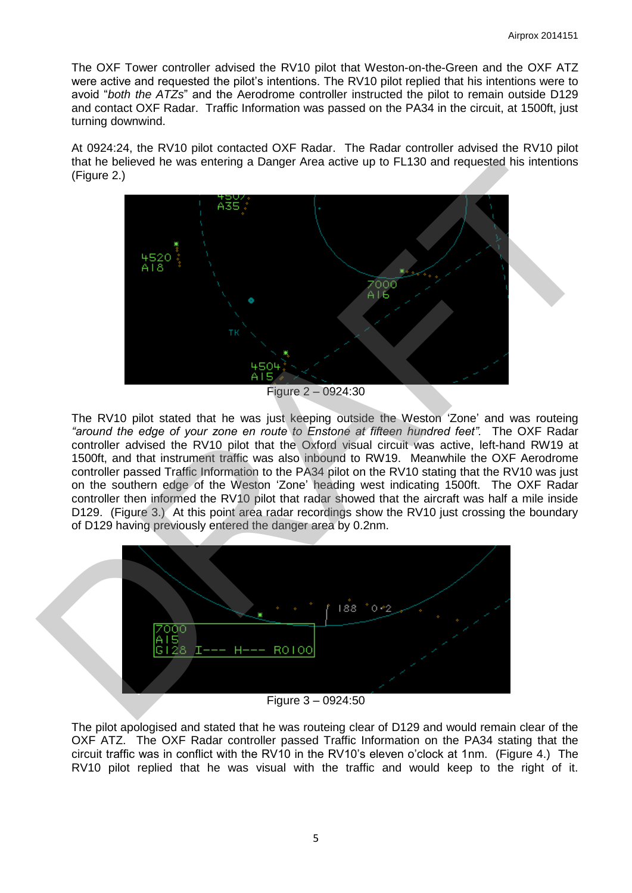The OXF Tower controller advised the RV10 pilot that Weston-on-the-Green and the OXF ATZ were active and requested the pilot's intentions. The RV10 pilot replied that his intentions were to avoid "*both the ATZs*" and the Aerodrome controller instructed the pilot to remain outside D129 and contact OXF Radar. Traffic Information was passed on the PA34 in the circuit, at 1500ft, just turning downwind.

At 0924:24, the RV10 pilot contacted OXF Radar. The Radar controller advised the RV10 pilot that he believed he was entering a Danger Area active up to FL130 and requested his intentions (Figure 2.)



Figure 2 – 0924:30

The RV10 pilot stated that he was just keeping outside the Weston 'Zone' and was routeing *"around the edge of your zone en route to Enstone at fifteen hundred feet".* The OXF Radar controller advised the RV10 pilot that the Oxford visual circuit was active, left-hand RW19 at 1500ft, and that instrument traffic was also inbound to RW19. Meanwhile the OXF Aerodrome controller passed Traffic Information to the PA34 pilot on the RV10 stating that the RV10 was just on the southern edge of the Weston 'Zone' heading west indicating 1500ft. The OXF Radar controller then informed the RV10 pilot that radar showed that the aircraft was half a mile inside D129. (Figure 3.) At this point area radar recordings show the RV10 just crossing the boundary of D129 having previously entered the danger area by 0.2nm.



Figure 3 – 0924:50

The pilot apologised and stated that he was routeing clear of D129 and would remain clear of the OXF ATZ. The OXF Radar controller passed Traffic Information on the PA34 stating that the circuit traffic was in conflict with the RV10 in the RV10's eleven o'clock at 1nm. (Figure 4.) The RV10 pilot replied that he was visual with the traffic and would keep to the right of it.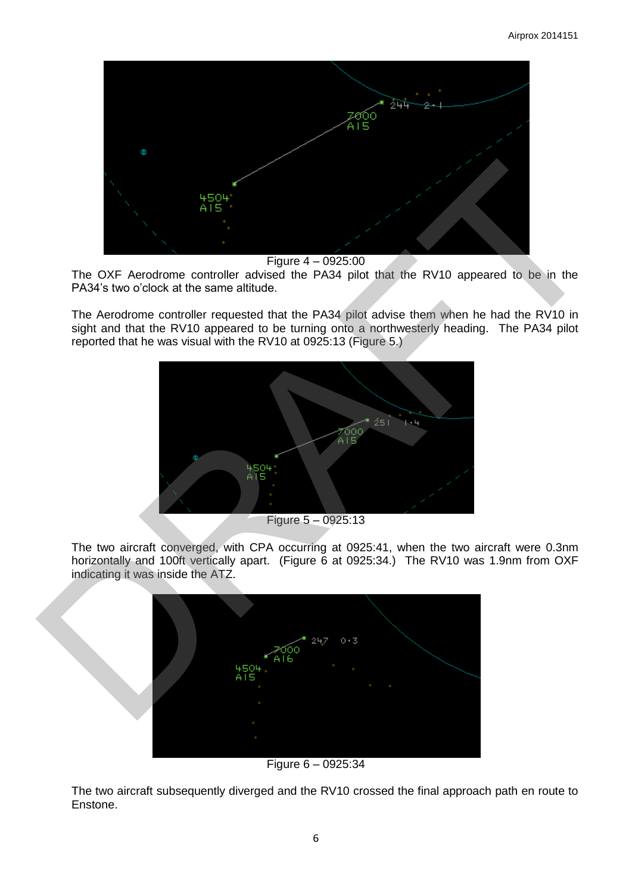

Figure 4 – 0925:00

The OXF Aerodrome controller advised the PA34 pilot that the RV10 appeared to be in the PA34's two o'clock at the same altitude.

The Aerodrome controller requested that the PA34 pilot advise them when he had the RV10 in sight and that the RV10 appeared to be turning onto a northwesterly heading. The PA34 pilot reported that he was visual with the RV10 at 0925:13 (Figure 5.)



Figure 5 – 0925:13

The two aircraft converged, with CPA occurring at 0925:41, when the two aircraft were 0.3nm horizontally and 100ft vertically apart. (Figure 6 at 0925:34.) The RV10 was 1.9nm from OXF indicating it was inside the ATZ.



Figure 6 – 0925:34

The two aircraft subsequently diverged and the RV10 crossed the final approach path en route to Enstone.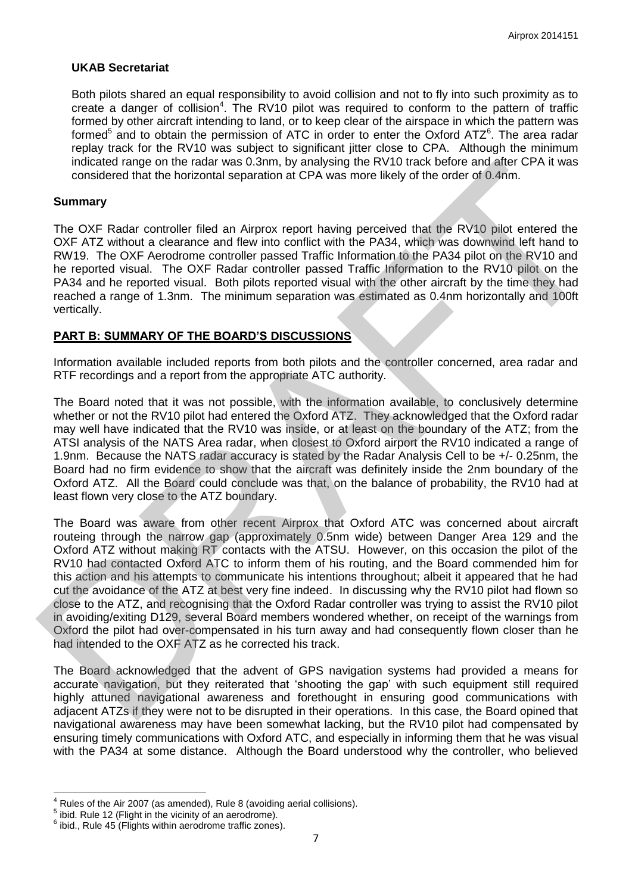## **UKAB Secretariat**

Both pilots shared an equal responsibility to avoid collision and not to fly into such proximity as to create a danger of collision<sup>4</sup>. The RV10 pilot was required to conform to the pattern of traffic formed by other aircraft intending to land, or to keep clear of the airspace in which the pattern was formed<sup>5</sup> and to obtain the permission of ATC in order to enter the Oxford ATZ<sup>6</sup>. The area radar replay track for the RV10 was subject to significant jitter close to CPA. Although the minimum indicated range on the radar was 0.3nm, by analysing the RV10 track before and after CPA it was considered that the horizontal separation at CPA was more likely of the order of 0.4nm.

### **Summary**

The OXF Radar controller filed an Airprox report having perceived that the RV10 pilot entered the OXF ATZ without a clearance and flew into conflict with the PA34, which was downwind left hand to RW19. The OXF Aerodrome controller passed Traffic Information to the PA34 pilot on the RV10 and he reported visual. The OXF Radar controller passed Traffic Information to the RV10 pilot on the PA34 and he reported visual. Both pilots reported visual with the other aircraft by the time they had reached a range of 1.3nm. The minimum separation was estimated as 0.4nm horizontally and 100ft vertically.

# **PART B: SUMMARY OF THE BOARD'S DISCUSSIONS**

Information available included reports from both pilots and the controller concerned, area radar and RTF recordings and a report from the appropriate ATC authority.

The Board noted that it was not possible, with the information available, to conclusively determine whether or not the RV10 pilot had entered the Oxford ATZ. They acknowledged that the Oxford radar may well have indicated that the RV10 was inside, or at least on the boundary of the ATZ; from the ATSI analysis of the NATS Area radar, when closest to Oxford airport the RV10 indicated a range of 1.9nm. Because the NATS radar accuracy is stated by the Radar Analysis Cell to be +/- 0.25nm, the Board had no firm evidence to show that the aircraft was definitely inside the 2nm boundary of the Oxford ATZ. All the Board could conclude was that, on the balance of probability, the RV10 had at least flown very close to the ATZ boundary.

The Board was aware from other recent Airprox that Oxford ATC was concerned about aircraft routeing through the narrow gap (approximately 0.5nm wide) between Danger Area 129 and the Oxford ATZ without making RT contacts with the ATSU. However, on this occasion the pilot of the RV10 had contacted Oxford ATC to inform them of his routing, and the Board commended him for this action and his attempts to communicate his intentions throughout; albeit it appeared that he had cut the avoidance of the ATZ at best very fine indeed. In discussing why the RV10 pilot had flown so close to the ATZ, and recognising that the Oxford Radar controller was trying to assist the RV10 pilot in avoiding/exiting D129, several Board members wondered whether, on receipt of the warnings from Oxford the pilot had over-compensated in his turn away and had consequently flown closer than he had intended to the OXF ATZ as he corrected his track. inducted range on the radar was 0.3nm, by analysing the NY10 track before and atter CPA it was<br>considered that the bottomial separation at CPA was more likely of the order of 0.3fm.<br>The OXF R2adri controller filed an Airpr

The Board acknowledged that the advent of GPS navigation systems had provided a means for accurate navigation, but they reiterated that 'shooting the gap' with such equipment still required highly attuned navigational awareness and forethought in ensuring good communications with adjacent ATZs if they were not to be disrupted in their operations. In this case, the Board opined that navigational awareness may have been somewhat lacking, but the RV10 pilot had compensated by ensuring timely communications with Oxford ATC, and especially in informing them that he was visual with the PA34 at some distance. Although the Board understood why the controller, who believed

 $\overline{\phantom{a}}$ 

<sup>4</sup> Rules of the Air 2007 (as amended), Rule 8 (avoiding aerial collisions).

<sup>5</sup> ibid. Rule 12 (Flight in the vicinity of an aerodrome).

 $6$  ibid., Rule 45 (Flights within aerodrome traffic zones).